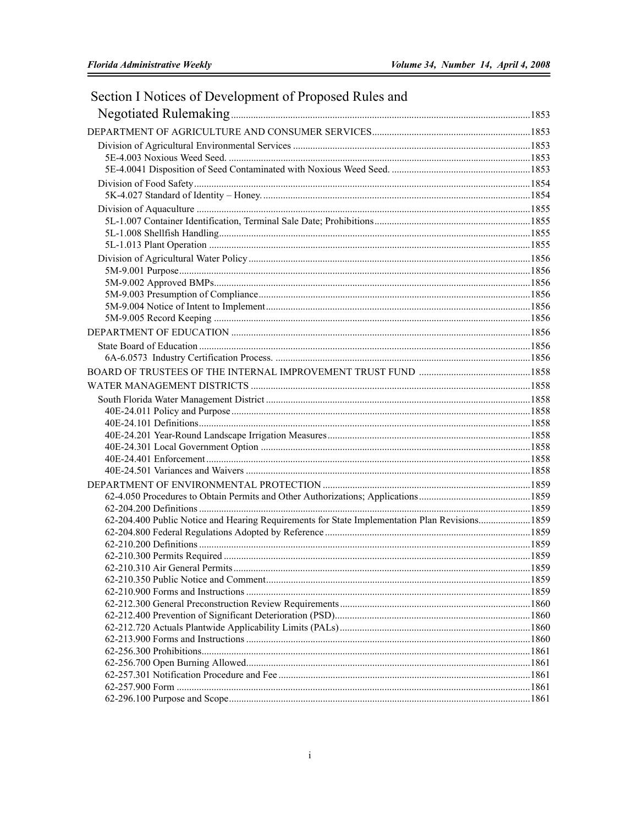| Section I Notices of Development of Proposed Rules and                                        |  |
|-----------------------------------------------------------------------------------------------|--|
|                                                                                               |  |
|                                                                                               |  |
|                                                                                               |  |
|                                                                                               |  |
|                                                                                               |  |
|                                                                                               |  |
|                                                                                               |  |
|                                                                                               |  |
|                                                                                               |  |
|                                                                                               |  |
|                                                                                               |  |
|                                                                                               |  |
|                                                                                               |  |
|                                                                                               |  |
|                                                                                               |  |
|                                                                                               |  |
|                                                                                               |  |
|                                                                                               |  |
|                                                                                               |  |
|                                                                                               |  |
|                                                                                               |  |
|                                                                                               |  |
|                                                                                               |  |
|                                                                                               |  |
|                                                                                               |  |
|                                                                                               |  |
|                                                                                               |  |
|                                                                                               |  |
|                                                                                               |  |
|                                                                                               |  |
|                                                                                               |  |
|                                                                                               |  |
| 62-204.400 Public Notice and Hearing Requirements for State Implementation Plan Revisions1859 |  |
|                                                                                               |  |
|                                                                                               |  |
|                                                                                               |  |
|                                                                                               |  |
|                                                                                               |  |
|                                                                                               |  |
|                                                                                               |  |
|                                                                                               |  |
|                                                                                               |  |
|                                                                                               |  |
|                                                                                               |  |
|                                                                                               |  |
|                                                                                               |  |
|                                                                                               |  |
|                                                                                               |  |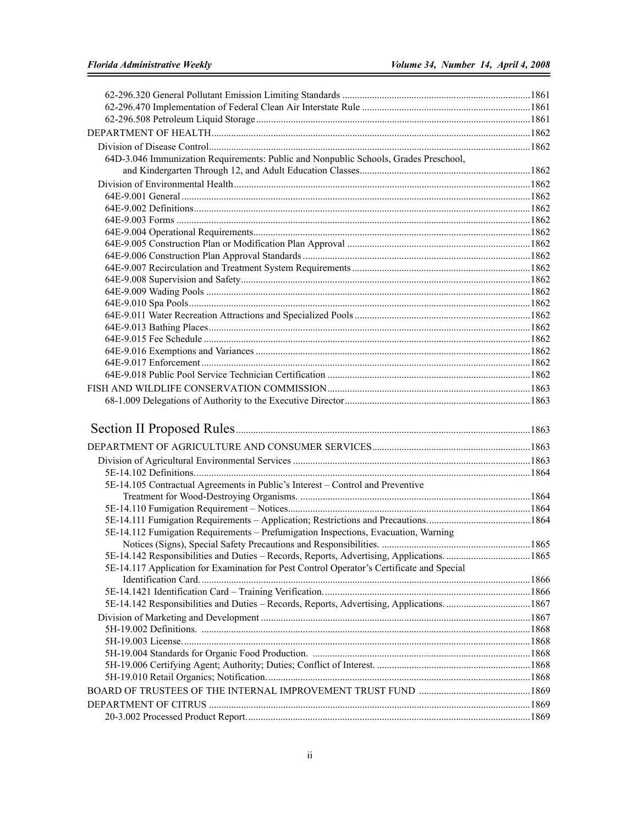| 64D-3.046 Immunization Requirements: Public and Nonpublic Schools, Grades Preschool,      |  |
|-------------------------------------------------------------------------------------------|--|
|                                                                                           |  |
|                                                                                           |  |
|                                                                                           |  |
|                                                                                           |  |
|                                                                                           |  |
|                                                                                           |  |
|                                                                                           |  |
|                                                                                           |  |
|                                                                                           |  |
|                                                                                           |  |
|                                                                                           |  |
|                                                                                           |  |
|                                                                                           |  |
|                                                                                           |  |
|                                                                                           |  |
|                                                                                           |  |
|                                                                                           |  |
|                                                                                           |  |
|                                                                                           |  |
|                                                                                           |  |
|                                                                                           |  |
|                                                                                           |  |
|                                                                                           |  |
|                                                                                           |  |
|                                                                                           |  |
| 5E-14.105 Contractual Agreements in Public's Interest - Control and Preventive            |  |
|                                                                                           |  |
|                                                                                           |  |
| 5E-14.112 Fumigation Requirements - Prefumigation Inspections, Evacuation, Warning        |  |
|                                                                                           |  |
|                                                                                           |  |
| 5E-14.117 Application for Examination for Pest Control Operator's Certificate and Special |  |
|                                                                                           |  |
|                                                                                           |  |
|                                                                                           |  |
|                                                                                           |  |
|                                                                                           |  |
|                                                                                           |  |
|                                                                                           |  |
|                                                                                           |  |
|                                                                                           |  |
|                                                                                           |  |
|                                                                                           |  |
|                                                                                           |  |
|                                                                                           |  |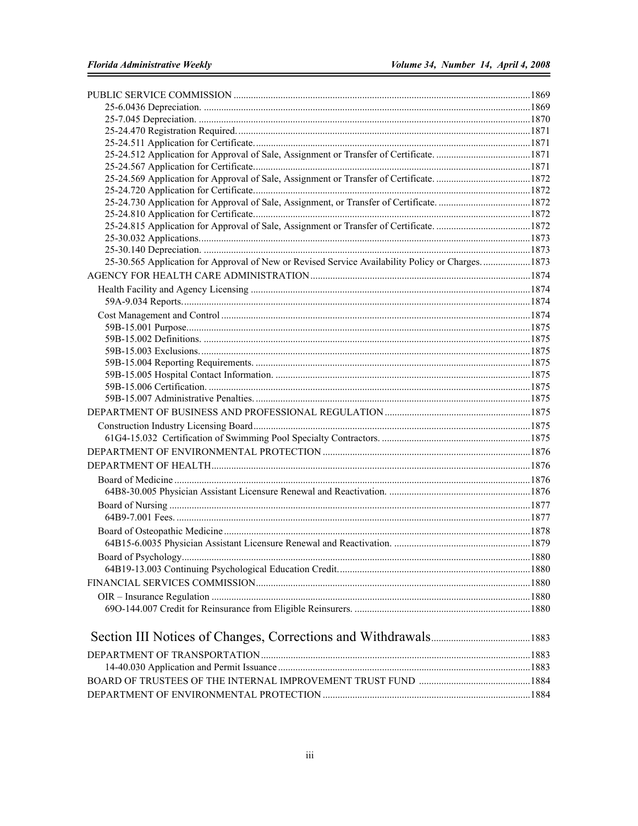| 25-30.565 Application for Approval of New or Revised Service Availability Policy or Charges1873 |  |
|-------------------------------------------------------------------------------------------------|--|
|                                                                                                 |  |
|                                                                                                 |  |
|                                                                                                 |  |
|                                                                                                 |  |
|                                                                                                 |  |
|                                                                                                 |  |
|                                                                                                 |  |
|                                                                                                 |  |
|                                                                                                 |  |
|                                                                                                 |  |
|                                                                                                 |  |
|                                                                                                 |  |
|                                                                                                 |  |
|                                                                                                 |  |
|                                                                                                 |  |
|                                                                                                 |  |
|                                                                                                 |  |
|                                                                                                 |  |
|                                                                                                 |  |
|                                                                                                 |  |
|                                                                                                 |  |
|                                                                                                 |  |
|                                                                                                 |  |
|                                                                                                 |  |
|                                                                                                 |  |
|                                                                                                 |  |
|                                                                                                 |  |
|                                                                                                 |  |
|                                                                                                 |  |
|                                                                                                 |  |
|                                                                                                 |  |
|                                                                                                 |  |
|                                                                                                 |  |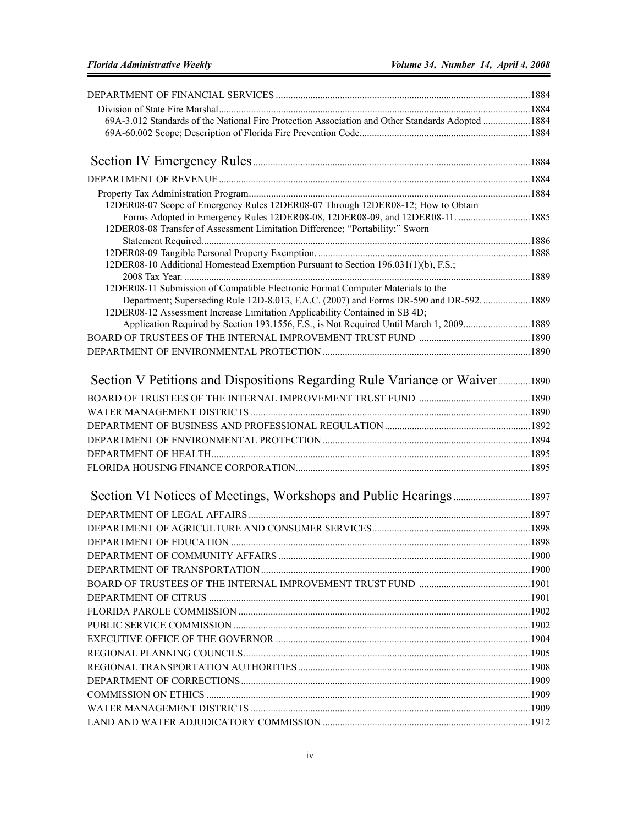| 69A-3.012 Standards of the National Fire Protection Association and Other Standards Adopted 1884                                                                        |  |
|-------------------------------------------------------------------------------------------------------------------------------------------------------------------------|--|
|                                                                                                                                                                         |  |
|                                                                                                                                                                         |  |
|                                                                                                                                                                         |  |
|                                                                                                                                                                         |  |
| 12DER08-07 Scope of Emergency Rules 12DER08-07 Through 12DER08-12; How to Obtain                                                                                        |  |
| Forms Adopted in Emergency Rules 12DER08-08, 12DER08-09, and 12DER08-11.  1885                                                                                          |  |
| 12DER08-08 Transfer of Assessment Limitation Difference; "Portability;" Sworn                                                                                           |  |
|                                                                                                                                                                         |  |
| 12DER08-10 Additional Homestead Exemption Pursuant to Section 196.031(1)(b), F.S.;                                                                                      |  |
|                                                                                                                                                                         |  |
| 12DER08-11 Submission of Compatible Electronic Format Computer Materials to the                                                                                         |  |
| Department; Superseding Rule 12D-8.013, F.A.C. (2007) and Forms DR-590 and DR-592.  1889<br>12DER08-12 Assessment Increase Limitation Applicability Contained in SB 4D; |  |
| Application Required by Section 193.1556, F.S., is Not Required Until March 1, 20091889                                                                                 |  |
|                                                                                                                                                                         |  |
|                                                                                                                                                                         |  |
|                                                                                                                                                                         |  |
|                                                                                                                                                                         |  |
|                                                                                                                                                                         |  |
|                                                                                                                                                                         |  |
|                                                                                                                                                                         |  |
|                                                                                                                                                                         |  |
|                                                                                                                                                                         |  |
|                                                                                                                                                                         |  |
|                                                                                                                                                                         |  |
|                                                                                                                                                                         |  |
|                                                                                                                                                                         |  |
|                                                                                                                                                                         |  |
|                                                                                                                                                                         |  |
|                                                                                                                                                                         |  |
|                                                                                                                                                                         |  |
|                                                                                                                                                                         |  |
|                                                                                                                                                                         |  |
|                                                                                                                                                                         |  |
|                                                                                                                                                                         |  |
|                                                                                                                                                                         |  |
|                                                                                                                                                                         |  |
|                                                                                                                                                                         |  |
|                                                                                                                                                                         |  |
|                                                                                                                                                                         |  |
|                                                                                                                                                                         |  |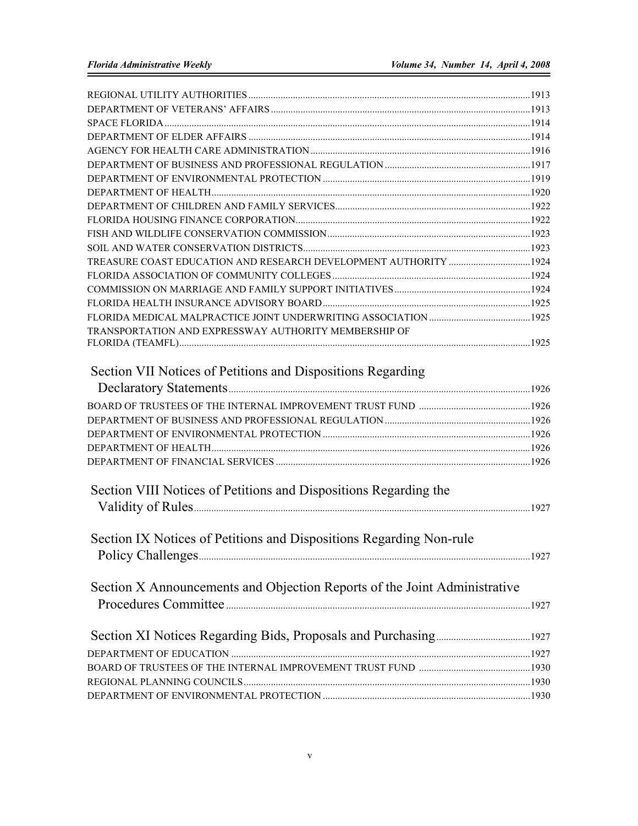| TRANSPORTATION AND EXPRESSWAY AUTHORITY MEMBERSHIP OF                     |  |
|---------------------------------------------------------------------------|--|
|                                                                           |  |
| Section VII Notices of Petitions and Dispositions Regarding               |  |
|                                                                           |  |
|                                                                           |  |
|                                                                           |  |
|                                                                           |  |
|                                                                           |  |
|                                                                           |  |
|                                                                           |  |
| Section VIII Notices of Petitions and Dispositions Regarding the          |  |
|                                                                           |  |
|                                                                           |  |
| Section IX Notices of Petitions and Dispositions Regarding Non-rule       |  |
|                                                                           |  |
|                                                                           |  |
| Section X Announcements and Objection Reports of the Joint Administrative |  |
|                                                                           |  |
|                                                                           |  |
|                                                                           |  |
|                                                                           |  |
|                                                                           |  |
|                                                                           |  |
|                                                                           |  |
|                                                                           |  |